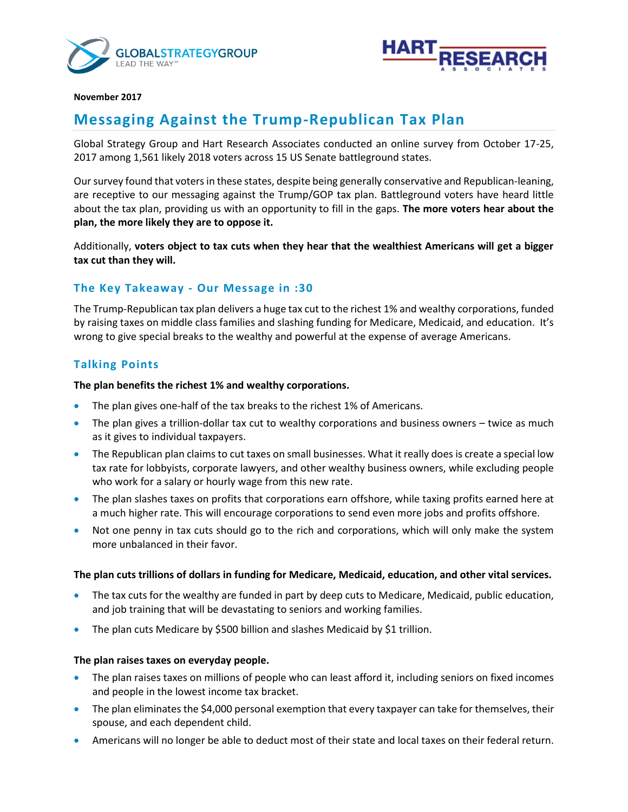



#### **November 2017**

# **Messaging Against the Trump-Republican Tax Plan**

Global Strategy Group and Hart Research Associates conducted an online survey from October 17-25, 2017 among 1,561 likely 2018 voters across 15 US Senate battleground states.

Our survey found that voters in these states, despite being generally conservative and Republican-leaning, are receptive to our messaging against the Trump/GOP tax plan. Battleground voters have heard little about the tax plan, providing us with an opportunity to fill in the gaps. **The more voters hear about the plan, the more likely they are to oppose it.**

Additionally, **voters object to tax cuts when they hear that the wealthiest Americans will get a bigger tax cut than they will.**

#### **The Key Takeaway - Our Message in :30**

The Trump-Republican tax plan delivers a huge tax cut to the richest 1% and wealthy corporations, funded by raising taxes on middle class families and slashing funding for Medicare, Medicaid, and education. It's wrong to give special breaks to the wealthy and powerful at the expense of average Americans.

### **Talking Points**

#### **The plan benefits the richest 1% and wealthy corporations.**

- The plan gives one-half of the tax breaks to the richest 1% of Americans.
- The plan gives a trillion-dollar tax cut to wealthy corporations and business owners twice as much as it gives to individual taxpayers.
- The Republican plan claims to cut taxes on small businesses. What it really does is create a special low tax rate for lobbyists, corporate lawyers, and other wealthy business owners, while excluding people who work for a salary or hourly wage from this new rate.
- The plan slashes taxes on profits that corporations earn offshore, while taxing profits earned here at a much higher rate. This will encourage corporations to send even more jobs and profits offshore.
- Not one penny in tax cuts should go to the rich and corporations, which will only make the system more unbalanced in their favor.

#### **The plan cuts trillions of dollars in funding for Medicare, Medicaid, education, and other vital services.**

- The tax cuts for the wealthy are funded in part by deep cuts to Medicare, Medicaid, public education, and job training that will be devastating to seniors and working families.
- The plan cuts Medicare by \$500 billion and slashes Medicaid by \$1 trillion.

#### **The plan raises taxes on everyday people.**

- The plan raises taxes on millions of people who can least afford it, including seniors on fixed incomes and people in the lowest income tax bracket.
- The plan eliminates the \$4,000 personal exemption that every taxpayer can take for themselves, their spouse, and each dependent child.
- Americans will no longer be able to deduct most of their state and local taxes on their federal return.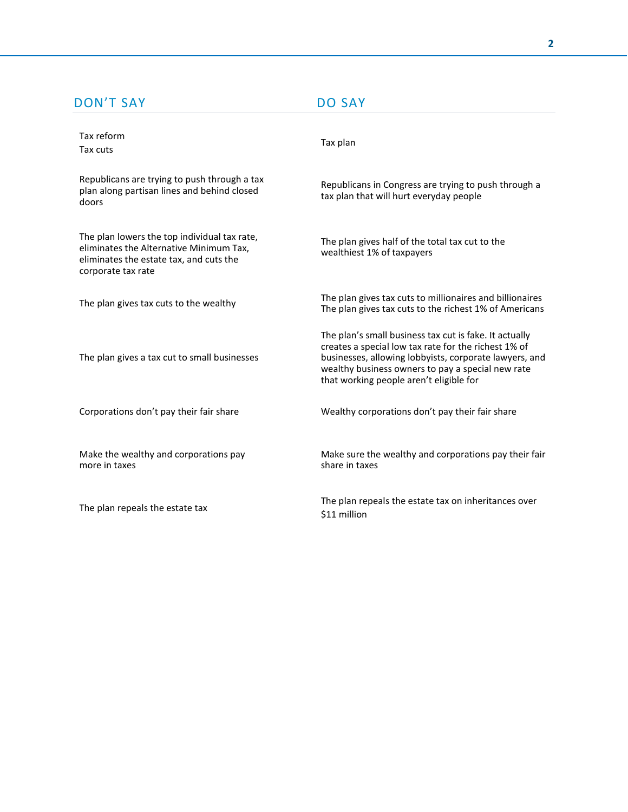## DON'T SAY DO SAY

| Tax reform<br>Tax cuts                                                                                                                                   | Tax plan                                                                                                                                                                                                                                                                 |
|----------------------------------------------------------------------------------------------------------------------------------------------------------|--------------------------------------------------------------------------------------------------------------------------------------------------------------------------------------------------------------------------------------------------------------------------|
| Republicans are trying to push through a tax<br>plan along partisan lines and behind closed<br>doors                                                     | Republicans in Congress are trying to push through a<br>tax plan that will hurt everyday people                                                                                                                                                                          |
| The plan lowers the top individual tax rate,<br>eliminates the Alternative Minimum Tax,<br>eliminates the estate tax, and cuts the<br>corporate tax rate | The plan gives half of the total tax cut to the<br>wealthiest 1% of taxpayers                                                                                                                                                                                            |
| The plan gives tax cuts to the wealthy                                                                                                                   | The plan gives tax cuts to millionaires and billionaires<br>The plan gives tax cuts to the richest 1% of Americans                                                                                                                                                       |
| The plan gives a tax cut to small businesses                                                                                                             | The plan's small business tax cut is fake. It actually<br>creates a special low tax rate for the richest 1% of<br>businesses, allowing lobbyists, corporate lawyers, and<br>wealthy business owners to pay a special new rate<br>that working people aren't eligible for |
| Corporations don't pay their fair share                                                                                                                  | Wealthy corporations don't pay their fair share                                                                                                                                                                                                                          |
| Make the wealthy and corporations pay<br>more in taxes                                                                                                   | Make sure the wealthy and corporations pay their fair<br>share in taxes                                                                                                                                                                                                  |
| The plan repeals the estate tax                                                                                                                          | The plan repeals the estate tax on inheritances over<br>\$11 million                                                                                                                                                                                                     |